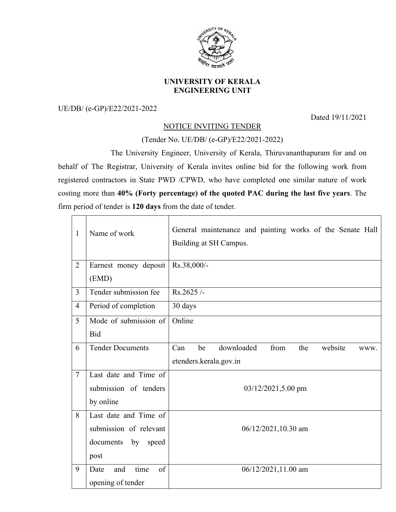

## **UNIVERSITY OF KERALA ENGINEERING UNIT**

UE/DB/ (e-GP)/E22/2021-2022

Dated 19/11/2021

## NOTICE INVITING TENDER

## (Tender No. UE/DB/ (e-GP)/E22/2021-2022)

The University Engineer, University of Kerala, Thiruvananthapuram for and on behalf of The Registrar, University of Kerala invites online bid for the following work from registered contractors in State PWD /CPWD, who have completed one similar nature of work costing more than **40% (Forty percentage) of the quoted PAC during the last five years**. The firm period of tender is **120 days** from the date of tender.

| $\mathbf{1}$   | Name of work                   | General maintenance and painting works of the Senate Hall<br>Building at SH Campus. |  |
|----------------|--------------------------------|-------------------------------------------------------------------------------------|--|
| $\overline{2}$ | Earnest money deposit<br>(EMD) | Rs.38,000/-                                                                         |  |
| $\overline{3}$ | Tender submission fee          | $Rs.2625/-$                                                                         |  |
| $\overline{4}$ | Period of completion           | 30 days                                                                             |  |
| 5              | Mode of submission of          | Online                                                                              |  |
|                | <b>Bid</b>                     |                                                                                     |  |
| 6              | <b>Tender Documents</b>        | downloaded<br>from<br>be<br>the<br>website<br>Can<br>WWW.                           |  |
|                |                                | etenders.kerala.gov.in                                                              |  |
| $\overline{7}$ | Last date and Time of          |                                                                                     |  |
|                | submission of tenders          | 03/12/2021,5.00 pm                                                                  |  |
|                | by online                      |                                                                                     |  |
| 8              | Last date and Time of          | 06/12/2021,10.30 am                                                                 |  |
|                | submission of relevant         |                                                                                     |  |
|                | documents<br>by<br>speed       |                                                                                     |  |
|                | post                           |                                                                                     |  |
| 9              | time<br>of<br>Date<br>and      | 06/12/2021,11.00 am                                                                 |  |
|                | opening of tender              |                                                                                     |  |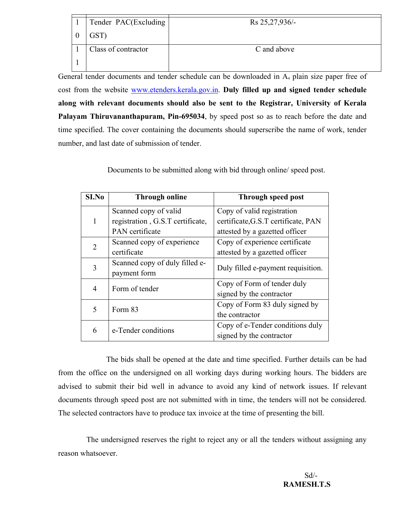| Tender PAC(Excluding | Rs 25, 27, 936/- |
|----------------------|------------------|
|                      |                  |
| GST)                 |                  |
|                      |                  |
| Class of contractor  | C and above      |
|                      |                  |
|                      |                  |
|                      |                  |

General tender documents and tender schedule can be downloaded in A<sub>4</sub> plain size paper free of cost from the website www.etenders.kerala.gov.in. **Duly filled up and signed tender schedule along with relevant documents should also be sent to the Registrar, University of Kerala Palayam Thiruvananthapuram, Pin-695034**, by speed post so as to reach before the date and time specified. The cover containing the documents should superscribe the name of work, tender number, and last date of submission of tender.

Documents to be submitted along with bid through online/ speed post.

| S <sub>I.No</sub> | <b>Through online</b>            | Through speed post                  |
|-------------------|----------------------------------|-------------------------------------|
|                   | Scanned copy of valid            | Copy of valid registration          |
| 1                 | registration, G.S.T certificate, | certificate, G.S.T certificate, PAN |
|                   | PAN certificate                  | attested by a gazetted officer      |
| 2                 | Scanned copy of experience       | Copy of experience certificate      |
|                   | certificate                      | attested by a gazetted officer      |
| 3                 | Scanned copy of duly filled e-   | Duly filled e-payment requisition.  |
|                   | payment form                     |                                     |
| 4                 | Form of tender                   | Copy of Form of tender duly         |
|                   |                                  | signed by the contractor            |
| 5                 | Form 83                          | Copy of Form 83 duly signed by      |
|                   |                                  | the contractor                      |
| 6                 | e-Tender conditions              | Copy of e-Tender conditions duly    |
|                   |                                  | signed by the contractor            |

The bids shall be opened at the date and time specified. Further details can be had from the office on the undersigned on all working days during working hours. The bidders are advised to submit their bid well in advance to avoid any kind of network issues. If relevant documents through speed post are not submitted with in time, the tenders will not be considered. The selected contractors have to produce tax invoice at the time of presenting the bill.

The undersigned reserves the right to reject any or all the tenders without assigning any reason whatsoever.